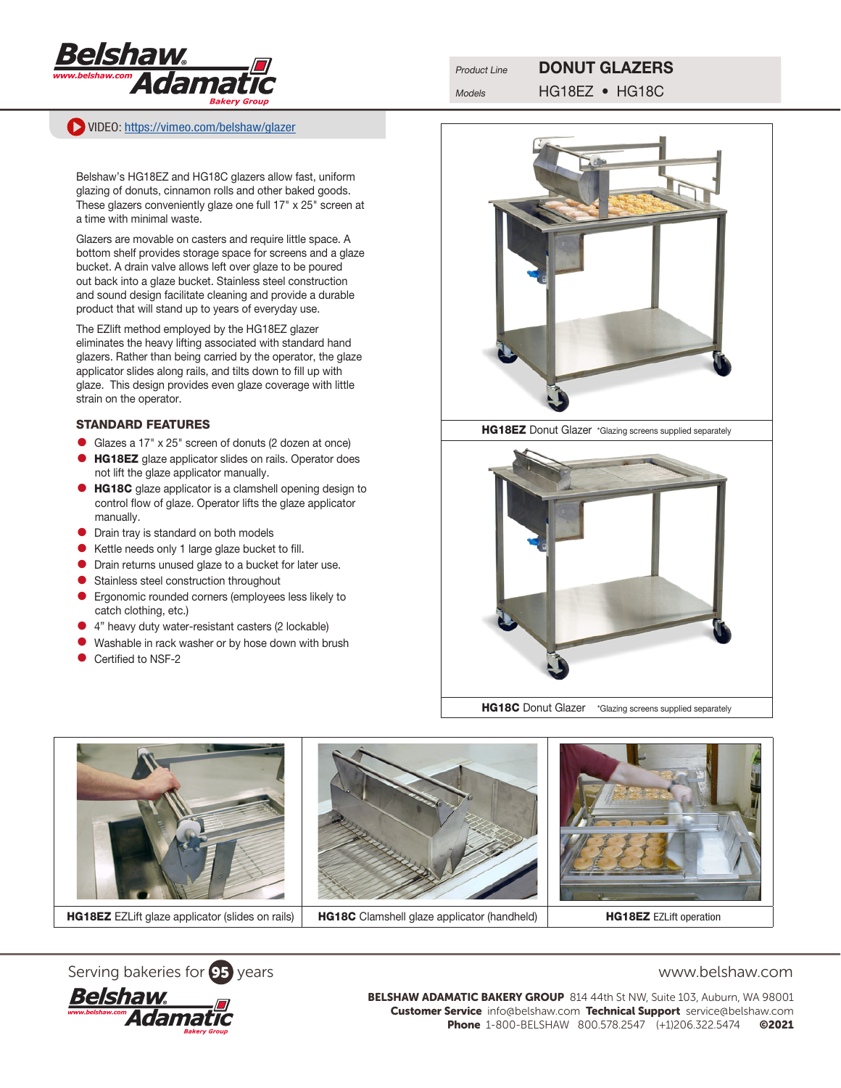

VIDEO: [https://vimeo.com/belshaw/](https://vimeo.com/belshaw/glazer)glazer

## Product Line **DONUT GLAZERS**

Models HG18EZ • HG18C

Belshaw's HG18EZ and HG18C glazers allow fast, uniform glazing of donuts, cinnamon rolls and other baked goods. These glazers conveniently glaze one full 17" x 25" screen at a time with minimal waste.

Glazers are movable on casters and require little space. A bottom shelf provides storage space for screens and a glaze bucket. A drain valve allows left over glaze to be poured out back into a glaze bucket. Stainless steel construction and sound design facilitate cleaning and provide a durable product that will stand up to years of everyday use.

The EZlift method employed by the HG18EZ glazer eliminates the heavy lifting associated with standard hand glazers. Rather than being carried by the operator, the glaze applicator slides along rails, and tilts down to fill up with glaze. This design provides even glaze coverage with little strain on the operator.

## STANDARD FEATURES

- Glazes a 17" x 25" screen of donuts (2 dozen at once)
- **HG18EZ** glaze applicator slides on rails. Operator does not lift the glaze applicator manually.
- **HG18C** glaze applicator is a clamshell opening design to control flow of glaze. Operator lifts the glaze applicator manually.
- **•** Drain tray is standard on both models
- Kettle needs only 1 large glaze bucket to fill.
- Drain returns unused glaze to a bucket for later use.
- **•** Stainless steel construction throughout
- Ergonomic rounded corners (employees less likely to catch clothing, etc.)
- 4" heavy duty water-resistant casters (2 lockable)
- **•** Washable in rack washer or by hose down with brush
- Certified to NSF-2









BELSHAW ADAMATIC BAKERY GROUP 814 44th St NW, Suite 103, Auburn, WA 98001 Customer Service info@belshaw.com Technical Support service@belshaw.com Phone 1-800-BELSHAW 800.578.2547 (+1)206.322.5474 ©2021